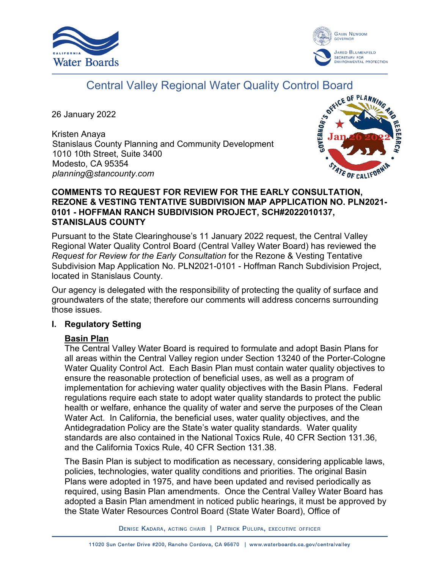



# Central Valley Regional Water Quality Control Board

26 January 2022

Kristen Anaya Stanislaus County Planning and Community Development 1010 10th Street, Suite 3400 Modesto, CA 95354 *planning@stancounty.com*



## **COMMENTS TO REQUEST FOR REVIEW FOR THE EARLY CONSULTATION, REZONE & VESTING TENTATIVE SUBDIVISION MAP APPLICATION NO. PLN2021- 0101 - HOFFMAN RANCH SUBDIVISION PROJECT, SCH#2022010137, STANISLAUS COUNTY**

Pursuant to the State Clearinghouse's 11 January 2022 request, the Central Valley Regional Water Quality Control Board (Central Valley Water Board) has reviewed the *Request for Review for the Early Consultation* for the Rezone & Vesting Tentative Subdivision Map Application No. PLN2021-0101 - Hoffman Ranch Subdivision Project, located in Stanislaus County.

Our agency is delegated with the responsibility of protecting the quality of surface and groundwaters of the state; therefore our comments will address concerns surrounding those issues.

#### **I. Regulatory Setting**

#### **Basin Plan**

The Central Valley Water Board is required to formulate and adopt Basin Plans for all areas within the Central Valley region under Section 13240 of the Porter-Cologne Water Quality Control Act. Each Basin Plan must contain water quality objectives to ensure the reasonable protection of beneficial uses, as well as a program of implementation for achieving water quality objectives with the Basin Plans. Federal regulations require each state to adopt water quality standards to protect the public health or welfare, enhance the quality of water and serve the purposes of the Clean Water Act. In California, the beneficial uses, water quality objectives, and the Antidegradation Policy are the State's water quality standards. Water quality standards are also contained in the National Toxics Rule, 40 CFR Section 131.36, and the California Toxics Rule, 40 CFR Section 131.38.

The Basin Plan is subject to modification as necessary, considering applicable laws, policies, technologies, water quality conditions and priorities. The original Basin Plans were adopted in 1975, and have been updated and revised periodically as required, using Basin Plan amendments. Once the Central Valley Water Board has adopted a Basin Plan amendment in noticed public hearings, it must be approved by the State Water Resources Control Board (State Water Board), Office of

DENISE KADARA, ACTING CHAIR | PATRICK PULUPA, EXECUTIVE OFFICER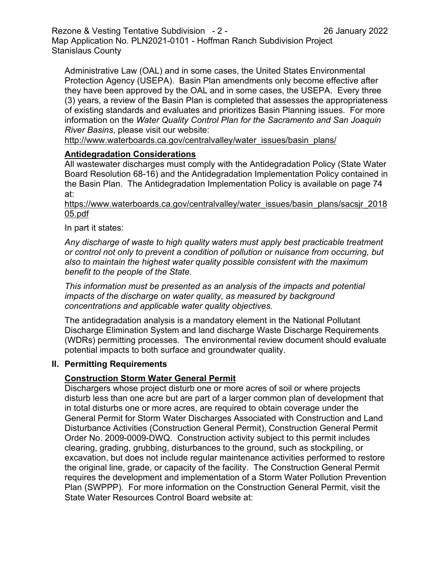Rezone & Vesting Tentative Subdivision - 2 - 26 January 2022 Map Application No. PLN2021-0101 - Hoffman Ranch Subdivision Project Stanislaus County

Administrative Law (OAL) and in some cases, the United States Environmental Protection Agency (USEPA). Basin Plan amendments only become effective after they have been approved by the OAL and in some cases, the USEPA. Every three (3) years, a review of the Basin Plan is completed that assesses the appropriateness of existing standards and evaluates and prioritizes Basin Planning issues. For more information on the *Water Quality Control Plan for the Sacramento and San Joaquin River Basins*, please visit our website:

[http://www.waterboards.ca.gov/centralvalley/water\\_issues/basin\\_plans/](http://www.waterboards.ca.gov/centralvalley/water_issues/basin_plans/)

## **Antidegradation Considerations**

All wastewater discharges must comply with the Antidegradation Policy (State Water Board Resolution 68-16) and the Antidegradation Implementation Policy contained in the Basin Plan. The Antidegradation Implementation Policy is available on page 74 at:

### https://www.waterboards.ca.gov/centralvalley/water\_issues/basin\_plans/sacsjr\_2018 05.pdf

## In part it states:

*Any discharge of waste to high quality waters must apply best practicable treatment or control not only to prevent a condition of pollution or nuisance from occurring, but also to maintain the highest water quality possible consistent with the maximum benefit to the people of the State.*

*This information must be presented as an analysis of the impacts and potential impacts of the discharge on water quality, as measured by background concentrations and applicable water quality objectives.*

The antidegradation analysis is a mandatory element in the National Pollutant Discharge Elimination System and land discharge Waste Discharge Requirements (WDRs) permitting processes. The environmental review document should evaluate potential impacts to both surface and groundwater quality.

#### **II. Permitting Requirements**

## **Construction Storm Water General Permit**

Dischargers whose project disturb one or more acres of soil or where projects disturb less than one acre but are part of a larger common plan of development that in total disturbs one or more acres, are required to obtain coverage under the General Permit for Storm Water Discharges Associated with Construction and Land Disturbance Activities (Construction General Permit), Construction General Permit Order No. 2009-0009-DWQ. Construction activity subject to this permit includes clearing, grading, grubbing, disturbances to the ground, such as stockpiling, or excavation, but does not include regular maintenance activities performed to restore the original line, grade, or capacity of the facility. The Construction General Permit requires the development and implementation of a Storm Water Pollution Prevention Plan (SWPPP). For more information on the Construction General Permit, visit the State Water Resources Control Board website at: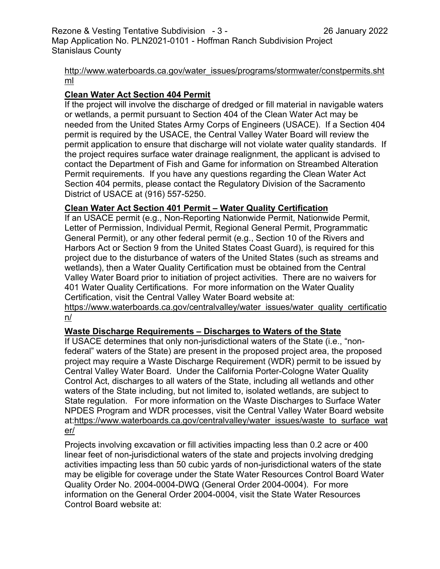## [http://www.waterboards.ca.gov/water\\_issues/programs/stormwater/constpermits.sht](http://www.waterboards.ca.gov/water_issues/programs/stormwater/constpermits.shtml) [ml](http://www.waterboards.ca.gov/water_issues/programs/stormwater/constpermits.shtml)

# **Clean Water Act Section 404 Permit**

If the project will involve the discharge of dredged or fill material in navigable waters or wetlands, a permit pursuant to Section 404 of the Clean Water Act may be needed from the United States Army Corps of Engineers (USACE). If a Section 404 permit is required by the USACE, the Central Valley Water Board will review the permit application to ensure that discharge will not violate water quality standards. If the project requires surface water drainage realignment, the applicant is advised to contact the Department of Fish and Game for information on Streambed Alteration Permit requirements. If you have any questions regarding the Clean Water Act Section 404 permits, please contact the Regulatory Division of the Sacramento District of USACE at (916) 557-5250.

## **Clean Water Act Section 401 Permit – Water Quality Certification**

If an USACE permit (e.g., Non-Reporting Nationwide Permit, Nationwide Permit, Letter of Permission, Individual Permit, Regional General Permit, Programmatic General Permit), or any other federal permit (e.g., Section 10 of the Rivers and Harbors Act or Section 9 from the United States Coast Guard), is required for this project due to the disturbance of waters of the United States (such as streams and wetlands), then a Water Quality Certification must be obtained from the Central Valley Water Board prior to initiation of project activities. There are no waivers for 401 Water Quality Certifications. For more information on the Water Quality Certification, visit the Central Valley Water Board website at:

https://www.waterboards.ca.gov/centralvalley/water\_issues/water\_quality\_certificatio n/

# **Waste Discharge Requirements – Discharges to Waters of the State**

If USACE determines that only non-jurisdictional waters of the State (i.e., "nonfederal" waters of the State) are present in the proposed project area, the proposed project may require a Waste Discharge Requirement (WDR) permit to be issued by Central Valley Water Board. Under the California Porter-Cologne Water Quality Control Act, discharges to all waters of the State, including all wetlands and other waters of the State including, but not limited to, isolated wetlands, are subject to State regulation. For more information on the Waste Discharges to Surface Water NPDES Program and WDR processes, visit the Central Valley Water Board website at:https://www.waterboards.ca.gov/centralvalley/water\_issues/waste\_to\_surface\_wat er/

Projects involving excavation or fill activities impacting less than 0.2 acre or 400 linear feet of non-jurisdictional waters of the state and projects involving dredging activities impacting less than 50 cubic yards of non-jurisdictional waters of the state may be eligible for coverage under the State Water Resources Control Board Water Quality Order No. 2004-0004-DWQ (General Order 2004-0004). For more information on the General Order 2004-0004, visit the State Water Resources Control Board website at: